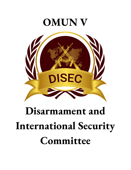

# **Disarmament and International Security Committee**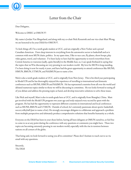

### Letter from the Chair

Dear Delegates,

Welcome to DISEC at OMUN V!

My name is Jordan Van Slingerland, and along with my co-chair Nick Reszetnik and our vice-chair Matt Wong, we are honored to be your DIAS for OMUN V.

To kick things off, I'm a tenth-grade student at UCC, and am originally a New Yorker and a proud Canadian-American. I have deep interests in everything from the automotive sector to basketball and as is common with most MUN chairs, politics. In my spare time, I like to race cars, fly planes, shoot hoops, play video games, travel, and volunteer. I've been lucky to have had the opportunity to travel everywhere from Central America to warzones (sadly, quite literally) in the Middle East, so, I can speak firsthand in saying that the topics that we'll be discussing are very pressing in our modern world. My love for MUN is long-standing, I've been doing it now for nearly 4 years, and have had the great opportunity to attend conferences like SSUNS, HMUN, BMUN, UTMUN, and NAIMUN just to name a few.

Nick is also a tenth-grade student at UCC, and is originally from New Jersey. This is his third year participating in Model UN and he has thoroughly enjoyed the experience of travelling to international and domestic conferences such as SSUNS, HMUN and NAIMUN. He has represented countries from all over the world and debated numerous topics similar to those we will be discussing in committee. He too looks forward to seeing all of you debate and address the pressing topics at hand, and develop innovative solutions to solve these issues.

Like Nick and myself, Matt is also in tenth-grade here at UCC, and is originally from Shanghai, China. Matt got involved with the Model UN program two years ago and truly enjoyed every second he spent with the program. He has had the opportunity to represent different countries in international and local conferences such as SSUNS, BMUN and UTMUN. Outside of school, he's extremely passionate about sports: basketball, soccer,volleyball (just to name a few). He strongly encourages delegates to collaborate and approach a problem from multiple perspectives and ultimately produce comprehensive solutions that benefits humanity as a whole.

Everyone on the DIAS has been in your shoes before, having all been delegates at OMUN ourselves, so feel free to come to us at any point during the conference with any questions or comments you might have. These two topics are becoming extremely pressing in our modern world, especially with the rise in tensions between nations on all corners of the globe.

That being said, we look forward to seeing you all in committee! Please don't hesitate to reach out to us via email with any questions.

Sincerely, The DIAS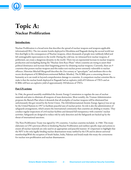

## **Topic A: Nuclear Proliferation**

#### **Introduction:**

Nuclear Proliferation is a broad term that describes the spread of nuclear weapons and weapons-applicable information(USL). The two atomic bombs deployed in Hiroshima and Nagasaki during the second world war first shed light to the consequences of Nuclear weapons, where thousands of people were ruthlessly killed and left unimaginable repercussions to the world. During the cold war, we witnessed how nuclear weapons, if politicized, can create a dangerous dynamic in the world. There was an exponential increase in nuclear weapons production and stockpiling during the "Nuclear Arm-Race Phase" where countries are trying to assert their political dominance and increase their bargaining power by obtaining nuclear weapons. Currently, there are 9 countries that possess nuclear weapons and this makes non-nuclear power extremely vulnerable to nuclear offences. Historian Mitchell Macgonell describes the 21st century as "apocalyptic" and attributes this to the recent development of ICBMs(Intercontinental Ballistic Missiles). The ICBMs pose a concerning threat to humanity as it can result in beyond-comprehension damage to countries. A comparison nuclear scientists like to make is that the nuclear bomb deployed in Nagasaki had an explosive yield of15 kilotons of TNTs and an ICBMs will have an explosive yield of approximately 250 kilotons of TNTs.

#### **Past UN actions:**

In 1946, the general assembly established the Atomic Energy Commission to regulate the uses of nuclear materials and aims to eliminate all weapons of mass destruction. Most notably, the Truman Administration proposes the Baruch Plan where it demands that all stockpiles of nuclear weapons will be eliminated but unfortunately this got vetoed by the Soviet Union. The IAEA(International Atomic Energy Agency) was set up by the United Nations in 1957 to facilitate peaceful uses of nuclear power. Its role is also the administration of safeguards arrangements, which assures the international community that countries are abiding to treaties. They conduct regular inspections of civil nuclear facilities and demand full transparency with countries' nuclear activities. Safeguards are designed to reduce risk by early detection and the Safeguards are backed up by the threat of international sanctions.

The Non-Proliferation Treaty was signed by 191 countries, 5 nuclear countries included, in 1968. This treaty elaborates on UN's previous efforts in hindering Nuclear Proliferation and outlines specific steps and actions to ensure all nuclear materials are only used in an appropriate and peaceful manner. It's important to highlight that the NPT is the only legally-binding nuclear disarmament treaty ratified by the UN and its almost universal membership(With the exception of South Sudan, India, Pakistan and Israel) made this treaty the cornerstone for nuclear non-proliferation and nuclear disarmament .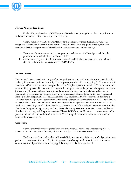

#### **Nuclear-Weapon-Free-Zones**

Nuclear-Weapon-Free-Zones (NWFZ) was established to strengthen global nuclear non-proliferation and unite international efforts towards peace and security.

General Assembly resolution 3472 B (1975) defines a Nuclear-Weapon-Free Zone as "any zone recognized as such by the General Assembly of the United Nations, which any group of States, in the free exercises of their sovereignty, has established by virtue of a treaty or convention whereby:

- a. The statute of total absence of nuclear weapons, to which the zone shall be subject, including the procedure for the delimitation of the zone, is defined
- b. An international system of verification and control is established to guarantee compliance with the obligations deriving from that statute" (UNODA 1975).

#### **Nuclear Power:**

Despite the aforementioned disadvantages of nuclear proliferation, appropriate use of nuclear materials could make significant contributions to humanity. Nuclear power plants function by triggering the "chain reaction of Uranium-235" where the uranium undergoes the process "of splitting neutrons in halves". Then the enormous amount of heat generated from the nuclear fission will heat up the surrounding water and evaporate into steam. Subsequently, the steam will turn the turbine and produce electricity. It's estimated that one kilogram of Uranium-235 will generate 20 terajoules of electricity which is equivalent to the amount of energy generated from 1.5 million kilogram of coal. The IAEA estimates that approximately 10% of the world's electricity is generated from the 450 nuclear power plants in the world. Furthermore, amidst the imminent threats of climate change, nuclear power is a much more environmentally friendly energy source. For every KWh of electricity produced, a mere 3.3 grams of Carbon Dioxide is produced and most of the carbon dioxide originates from the Uranium mining and milling process, not from the actual nuclear power plant itself. Here comes the dilemma that the chair encourages all delegates to consider: "Should DISEC suspend Uranium extractions because of the potential militarization of uranium? Or should DISEC encourage them to extract uranium because of the benefits of nuclear energy?".

#### **Case Study:**

North Korea made weapons-grade plutonium using a research reactor and a reprocessing plant in defiance of its NPT obligations. In 2006, 2009 and February 2013 it exploded nuclear devices.

The Democratic People's Republic of Korea (DPRK) is an example of the success of safeguards in their goal to detect violations of non-proliferation obligations. It was brought to the attention of the international community, with diplomatic pressure being applied through the UN Security Council.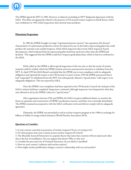

The DPRK signed the NPT in 1985. However, it delayed concluding its NPT Safeguards Agreement with the IAEA. This delay was apparently related to the presence of US tactical nuclear weapons in South Korea, which were withdrawn in 1992. IAEA inspections then showed some problems.

#### **Plutonium Programme**

In 1985 the DPRK brought two large "experimental power reactors" into operation; this showed characteristics of a plutonium production reactor for destructive use. It also built a reprocessing plant the could produce the uranium cores needed weapons, which IAEA inspectors discovered. IAEA inspectors found discrepancies, which indicated that the reprocessing plant had been used more often than the DPRK had declared. This suggested that the DPRK could have weapons-grade plutonium, which it had not confirmed to the IAEA.

IAEA called on the DPRK to allow special inspections of the two sites so that the stocks of nuclear material could be verified, which the DPRK refused, and soon announced its intention to withdraw from the NPT. In April 1993 the IAEA Board concluded that the DPRK was in non-compliance with its safeguards obligations and reported the matter to the UN Security Council. In June 1993 the DPRK announced that it had "suspended" its withdrawal from the NPT, but subsequently claimed a "special status" with respect to its safeguards obligations. This was rejected by IAEA.

Once the DPRK's non-compliance had been reported to the UN Security Council, the vital part of the IAEA's mission had been completed. Inspections continued, although inspectors were hampered in what they were allowed to do by the DPRK's claim of a "special status."

After negotiations between USA and DPRK, the IAEA was given additional duties, to monitor the freeze on operation and construction of DPRK's production reactors, until they were eventually demolished. The DPRK remained uncooperative with the IAEA verification work and did not comply with its safeguards agreement.

Ultimately, the DPRK was persuaded to end its nuclear weapons program in the 1990s in exchange for billions of dollars in energy-related assistance (World Nuclear Association 2015).

#### **Questions to Consider:**

1. Is your country currently in possession of nuclear weapons? If not, is it trying to be?

2. For what purpose does your country possess nuclear weapons (if it does)?

3. The Mutually Assured Destruction is a popular theory that states that countries will not attack each other due to the fear of annihilation. Do you support this theory? Why or why not?

4. Consider the pros and cons of Uranium Extraction, do you think it's justified?

5. How are your country's relations with nuclear nations?

6. How might nuclear proliferation change a country's relationship with one and another?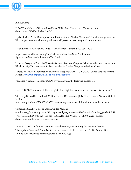

#### **Bibliography:**

"UNODA – Nuclear-Weapon-Free-Zones." UN News Center. http://www.un.org/ disarmament/WMD/Nuclear/nwfz/

Njølstad, Olav. " The Development and Proliferation of Nuclear Weapons." Nobelprize.org. June 19, 2003. http://www.nobelprize.org/educational/peace/ nuclear\_weapons/readmore.html

"World Nuclear Association." Nuclear Proliferation Case Studies. May 1, 2015.

http://www.world-nuclear.org/info/Safety-and-Security/Non-Proliferation/ Appendices/Nuclear-Proliferation-Case-Studies/.

"Nuclear Weapons: Who Has What at a Glance." Nuclear Weapons: Who Has What at a Glance. June 23, 2014. http://www.armscontrol.org/factsheets/ Nuclear Weapons Who Has What.

"Treaty on the Non-Proliferation of Nuclear Weapons (NPT) – UNODA." United Nations, United Nations, [www.un.org/disarmament/wmd/nuclear/npt/](http://www.un.org/disarmament/wmd/nuclear/npt/).

"Nuclear Weapons Timeline." ICAN, www.icanw.org/the-facts/the-nuclear-age/.

#### UNFOLD ZERO, www.unfoldzero.org/2018-un-high-level-conference-on-nuclear-disarmament/.

"Secretary-General Sees Political Will for Nuclear Disarmament | UN News." United Nations, United Nations, news.un.org/en/story/2009/06/302952-secretary-general-sees-politicalwill-nuclear-disarmament.

"Enterprise Search." United Nations, United Nations, search.un.org/results.php?ie=utf8&output=xml\_no\_dtd&oe=utf8&Submit=Search&\_ga=GA1.2.68 5763715.1532201987&\_gat=1&\_gid=GA1.2.1865196973.15355 75130&query=nuclear disarmament&tpl=un&lang=en&rows=10.

"Events – UNODA." United Nations, United Nations, www.un.org/disarmament/events/. "Trump Kim Summit: US and North Korean Leaders Hold Historic Talks." BBC News, BBC, 12 June 2018, www.bbc.com/news/world-asia-44435035.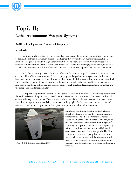

## **Topic B: Lethal Autonomous Weapons Systems**

#### **Artificial Intelligence and Automated Weaponry**

#### **Introduction**

Artificial intelligence (AI) is a broad term that encompasses the computer and statistical systems that perform actions that usually require a form of intelligence that previously only humans were capable of. Artificial intelligence is already changing the way that the world operates today, whether it is a website that tailors advertisements for a specific user or a self-driving car. As with many emerging technologies, however, AI has large implications for the future of warfare, potentially warranting a response from the First Committee.

AI is found in many places in the world today, whether it is Siri, Apple's personal voice assistant on its devices, or IBM's Watson, an advanced AI that helps people and organizations integrate machine learning, a branch of computer science that deals with systems that automatically learn and adjust. In some tasks, artificial intelligence has gained abilities that surpass what humans are thought to be able to achieve, for example in the field of data analytics. Machine learning enables systems to analyze data and recognize patterns faster than ever thought possible, and more accurately.

The practical applications of artificial intelligence are often misunderstood. It is extremely unlikely that the world will see anything similar to James Cameron's *Terminator* anytime soon, if this is even possible with current technological capabilities. There is however, the potential for machines that could learn to recognize individuals with particular physical characteristics or clothing styles. Furthermore, machines such as aircraft armoured vehicles could be programmed to operate autonomously - without human assistance.



Figure 3: BAE Systems prototype Corax UAV

Developed countries such as the United States are already developing programs that will help them wage war remotely. The US Department of Defense has closed bidding for a contract worth \$10 billion, called the Joint Enterprise Defense Infrastructure (JEDI).<sup>21</sup> The program hopes to take steps toward weaponizing AI, and signs show that there are more likely similar contracts to come as the industry expands. The First Committee's task is to help regulate the creation and use of such technologies. The following sections will focus on some prospects for the use of autonomous weaponry and the application of artificial intelligence in warfare.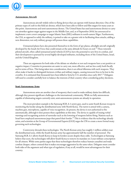

#### **Autonomous Aircraft**

Autonomous aircraft widely refers to flying devices that can operate with human direction. One of the primary types of craft in this field are drones, which have been able to follow and film targets for many years at this point. Autonomous and semi-autonomous drones. The United States has used autonomous drones to carry out airstrikes against target against targets in the Middle East, and, as of September 2018, has announced to implement a new covert campaign to target Islamic State (ISIL) militants in north-eastern Niger. Furthermore, the CIA, as opposed to solely the military, is poised to take on a greater role in facilitating these attacks, adding a new dimension; not only military groups will possess these capabilities.

Unmanned planes have also presented themselves in the form of spy planes, ultralight aircraft originally developed by the Israeli Air Force that could remain at the same altitude for hours on end.<sup>22</sup> These remotely piloted aircraft, often called unmanned aerial vehicles (UAVs), have the potential to save lives in combat, and their development is pursued by several highly-developed militaries, including those of the United States, Israel, and the United Kingdom.

There are arguments for both sides of the debate on whether or not such weapons have a net positive or negative impact. Countries in possession are easier to carry out, more effective, and are less costly both fiscally and in terms of lives. This being taken into consideration, there is an ethical dilemma with such weapons. They often make it harder to distinguish between civilian and military targets, causing innocent lives to be lost in the crossfire. It is estimated that thousands have been killed in Syria by U.S. airstrikes since early 2017.<sup>23</sup> Delegates will need to consider carefully how to balance the interests of their country when considering policy decisions.

#### **Semi-Autonomous Arms**

Autonomous arms are another class of weaponry that is used to make military duties less difficult, although they present significant challenges to the international community. While no fully autonomous capable of eliminating targets currently exist, semi-autonomous systems are already in operation.

The most prevalent example is the Samsung SGR A-1 sentry gun, used to assist South Korean troops in monitoring the border along the demilitarized zone with North Korea. The turret is armed with a camera, machine gun, microphone, capable of voice recognition. At present, the device is not authorized to fire automatically, although it does possess these capabilities at this time. The device is capable of issuing verbal warnings and recognizing actions of surrender such as the lowering of weapons before firing. Nations such as Israel have employed autonomous jeeps that patrol their border.<sup>24</sup> This is evidence that the technology already exists, and scientists at the Group of Governmental Experts (GGE) urges the UN to create a more formal treaty governing such technologies.

Controversy shrouds these technologies. The North Korean army has roughly 1 million soldiers near the demilitarized zone, while the South Korean army has approximately half the number of personnel. The Samsung SGR A-1 allows South Korea to keep its borders secure despite these odds. Technologists at Samsung believe that soon, the technologies will allow South Korea to remove its mandate on 2-year military conscription for all citizens. While some parties argue that these technologies therefore reduce human casualties and make combat cheaper, others contend that it makes encourages aggression by the same token. Delegates must consider both sides of the argument and what type of regulation, if any at all, would be most advantageous for their country.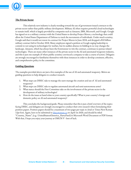

#### **The Private Sector**

This relatively new industry is clearly trending toward the use of government-issued contracts to the private sector rather than public military development. Military AI often requires powerful cloud technologies to sustain itself, which is largely provided by companies such as Amazon, IBM, Microsoft, and Google. Google has signed on to a military contract with the United States to develop Project Maven, a technology that could allow the United States Department of Defense to track the movements of individuals. Under much scrutiny, Google said that it would not renew its contract for Project Maven in June 2018, and dropped a \$10 billion military contract bid in October 2018. Many employees signed a petition at Google urging leadership to commit to not using its technologies for warfare, but its sudden absence in bidding in no way changes the landscape. Amazon, which has always been the frontrunner to win the contract, continues to pursue related technologies. There are many other instances of the private sector in the AI and automated weaponry industry, and this is just one example of where public scrutiny convinced a company to take a course of action. Delegates are strongly encouraged to familiarize themselves with these instances in order to develop consistent, effective, and comprehensive policy in the committee.

#### **Guiding Questions**

The examples provided above are just a few examples of the use of AI and automated weaponry. Below are guiding questions to help delegates to conduct research.

- 1. What steps can DISEC take to manage the users manage the creation and use of AI and automated weaponry?
- 2. What steps can DISEC take to regulate automated aircraft and semi-autonomous arms?
- 3. What stance should the First Committee take on the involvement of the private sector in the development of military technologies?
- 4. How do the issues at hand relate to your country specifically? What is your country's foreign and domestic policy on AI and automated weaponry?

This concludes the background guide. Please remember that this is just a brief overview of the topics facing DISEC, and delegates are strongly encouraged to conduct their own research when formulating their position papers. Position papers should be a maximum of two pages per topic in Arial or Times New Roman 12pt font. Again, have to be submitted to [disec@omun.ca](mailto:disec@omun.ca) on April 1st 2020, and should be titled "Country\_Name", (e.g.: UnitedStatesofAmerica\_HarryPatel) in Microsoft Word Document or PDF format. With that, I hope you enjoy your journey at OMUN V - best of luck.